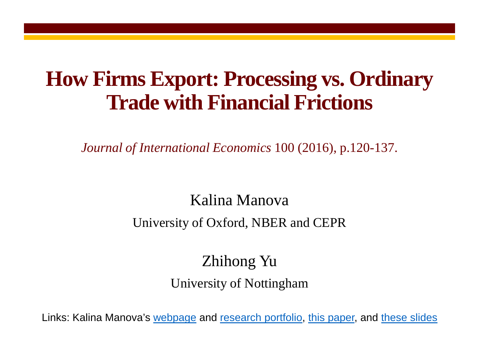#### **How Firms Export: Processing vs. Ordinary Trade with Financial Frictions**

*Journal of International Economics* 100 (2016), p.120-137.

#### Kalina Manova

#### University of Oxford, NBER and CEPR

#### Zhihong Yu University of Nottingham

Links: Kalina Manova's [webpage](http://users.ox.ac.uk/%7Eecon0451/index.html) and [research portfolio,](http://users.ox.ac.uk/%7Eecon0451/pubs.html) [this paper,](http://users.ox.ac.uk/%7Eecon0451/TR.pdf) and [these slides](http://users.ox.ac.uk/%7Eecon0451/TRslides.pdf)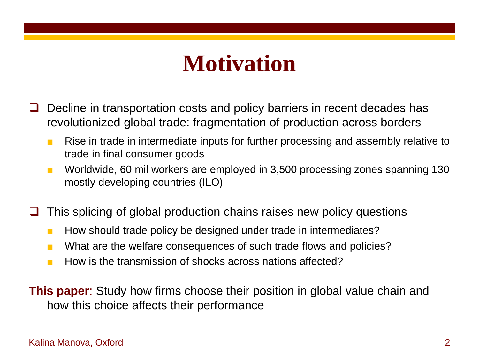#### **Motivation**

- Decline in transportation costs and policy barriers in recent decades has revolutionized global trade: fragmentation of production across borders
	- Rise in trade in intermediate inputs for further processing and assembly relative to trade in final consumer goods
	- Worldwide, 60 mil workers are employed in 3,500 processing zones spanning 130 mostly developing countries (ILO)
- This splicing of global production chains raises new policy questions
	- How should trade policy be designed under trade in intermediates?
	- What are the welfare consequences of such trade flows and policies?
	- How is the transmission of shocks across nations affected?

**This paper**: Study how firms choose their position in global value chain and how this choice affects their performance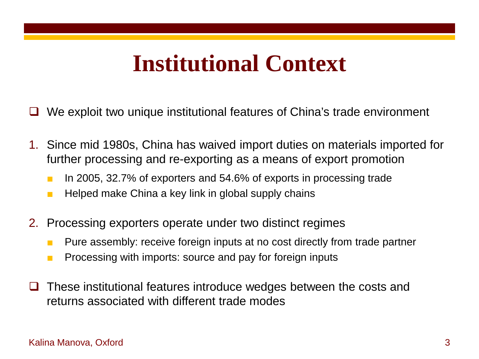#### **Institutional Context**

- We exploit two unique institutional features of China's trade environment
- 1. Since mid 1980s, China has waived import duties on materials imported for further processing and re-exporting as a means of export promotion
	- In 2005, 32.7% of exporters and 54.6% of exports in processing trade
	- Helped make China a key link in global supply chains
- 2. Processing exporters operate under two distinct regimes
	- Pure assembly: receive foreign inputs at no cost directly from trade partner
	- Processing with imports: source and pay for foreign inputs
- These institutional features introduce wedges between the costs and returns associated with different trade modes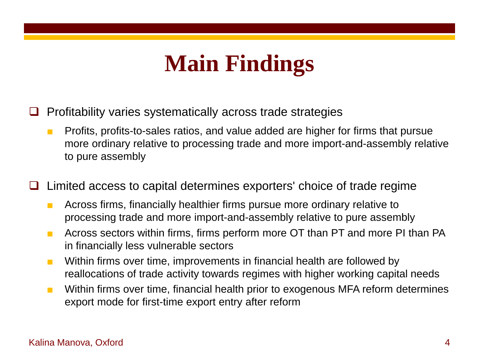# **Main Findings**

- Profitability varies systematically across trade strategies
	- Profits, profits-to-sales ratios, and value added are higher for firms that pursue more ordinary relative to processing trade and more import-and-assembly relative to pure assembly
- $\Box$  Limited access to capital determines exporters' choice of trade regime
	- Across firms, financially healthier firms pursue more ordinary relative to processing trade and more import-and-assembly relative to pure assembly
	- Across sectors within firms, firms perform more OT than PT and more PI than PA in financially less vulnerable sectors
	- Within firms over time, improvements in financial health are followed by reallocations of trade activity towards regimes with higher working capital needs
	- Within firms over time, financial health prior to exogenous MFA reform determines export mode for first-time export entry after reform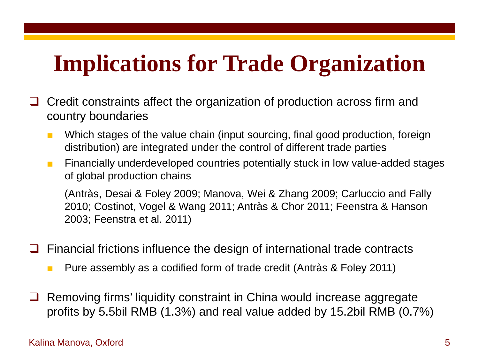# **Implications for Trade Organization**

- Credit constraints affect the organization of production across firm and country boundaries
	- Which stages of the value chain (input sourcing, final good production, foreign distribution) are integrated under the control of different trade parties
	- Financially underdeveloped countries potentially stuck in low value-added stages of global production chains

(Antràs, Desai & Foley 2009; Manova, Wei & Zhang 2009; Carluccio and Fally 2010; Costinot, Vogel & Wang 2011; Antràs & Chor 2011; Feenstra & Hanson 2003; Feenstra et al. 2011)

- Financial frictions influence the design of international trade contracts
	- Pure assembly as a codified form of trade credit (Antràs & Foley 2011)
- Removing firms' liquidity constraint in China would increase aggregate profits by 5.5bil RMB (1.3%) and real value added by 15.2bil RMB (0.7%)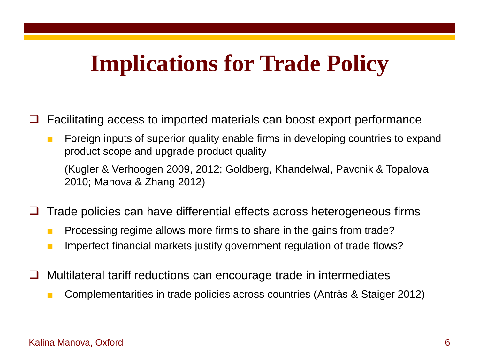### **Implications for Trade Policy**

- Facilitating access to imported materials can boost export performance
	- Foreign inputs of superior quality enable firms in developing countries to expand product scope and upgrade product quality

(Kugler & Verhoogen 2009, 2012; Goldberg, Khandelwal, Pavcnik & Topalova 2010; Manova & Zhang 2012)

- Trade policies can have differential effects across heterogeneous firms
	- Processing regime allows more firms to share in the gains from trade?
	- Imperfect financial markets justify government regulation of trade flows?
- Multilateral tariff reductions can encourage trade in intermediates
	- Complementarities in trade policies across countries (Antràs & Staiger 2012)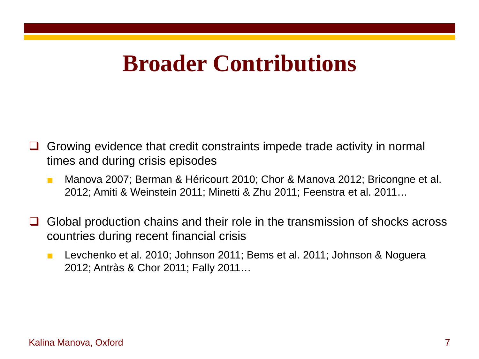#### **Broader Contributions**

- Growing evidence that credit constraints impede trade activity in normal times and during crisis episodes
	- Manova 2007; Berman & Héricourt 2010; Chor & Manova 2012; Bricongne et al. 2012; Amiti & Weinstein 2011; Minetti & Zhu 2011; Feenstra et al. 2011…
- Global production chains and their role in the transmission of shocks across countries during recent financial crisis
	- Levchenko et al. 2010; Johnson 2011; Bems et al. 2011; Johnson & Noguera 2012; Antràs & Chor 2011; Fally 2011…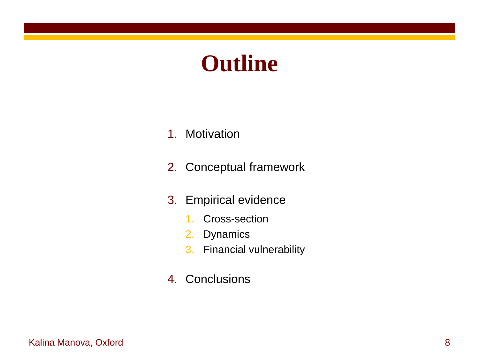### **Outline**

- 1. Motivation
- 2. Conceptual framework
- 3. Empirical evidence
	- 1. Cross-section
	- 2. Dynamics
	- 3. Financial vulnerability
- 4. Conclusions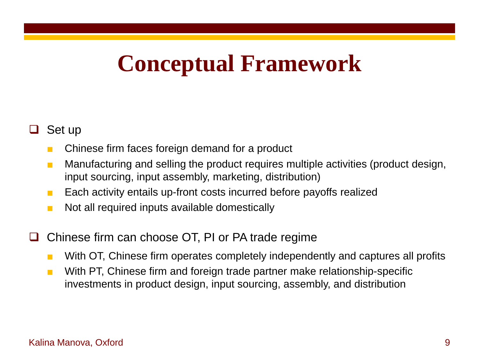### **Conceptual Framework**

#### Set up

- Chinese firm faces foreign demand for a product
- Manufacturing and selling the product requires multiple activities (product design, input sourcing, input assembly, marketing, distribution)
- Each activity entails up-front costs incurred before payoffs realized
- Not all required inputs available domestically
- Chinese firm can choose OT, PI or PA trade regime
	- With OT, Chinese firm operates completely independently and captures all profits
	- With PT, Chinese firm and foreign trade partner make relationship-specific investments in product design, input sourcing, assembly, and distribution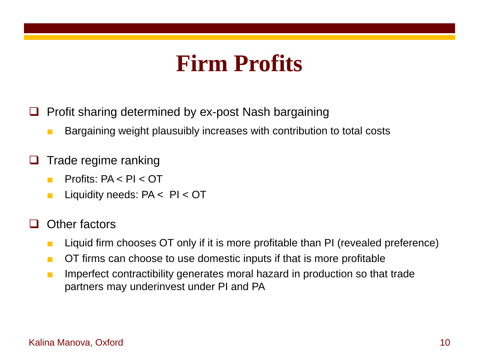### **Firm Profits**

- Profit sharing determined by ex-post Nash bargaining
	- Bargaining weight plausuibly increases with contribution to total costs
- Trade regime ranking
	- Profits: PA < PI < OT
	- Liquidity needs: PA < PI < OT
- Other factors
	- Liquid firm chooses OT only if it is more profitable than PI (revealed preference)
	- OT firms can choose to use domestic inputs if that is more profitable
	- Imperfect contractibility generates moral hazard in production so that trade partners may underinvest under PI and PA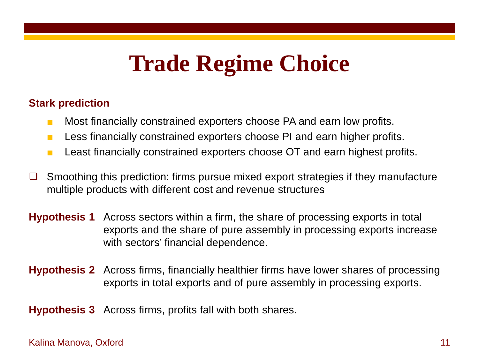# **Trade Regime Choice**

#### **Stark prediction**

- Most financially constrained exporters choose PA and earn low profits.
- Less financially constrained exporters choose PI and earn higher profits.
- Least financially constrained exporters choose OT and earn highest profits.
- $\Box$  Smoothing this prediction: firms pursue mixed export strategies if they manufacture multiple products with different cost and revenue structures
- **Hypothesis 1** Across sectors within a firm, the share of processing exports in total exports and the share of pure assembly in processing exports increase with sectors' financial dependence.
- **Hypothesis 2** Across firms, financially healthier firms have lower shares of processing exports in total exports and of pure assembly in processing exports.

**Hypothesis 3** Across firms, profits fall with both shares.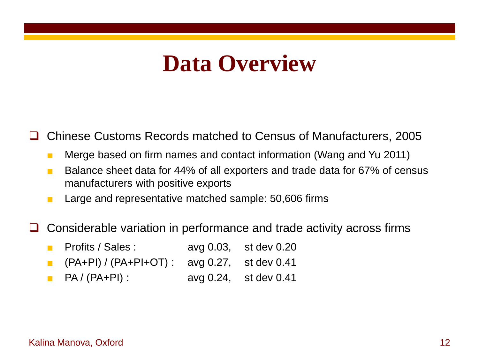#### **Data Overview**

Chinese Customs Records matched to Census of Manufacturers, 2005

- Merge based on firm names and contact information (Wang and Yu 2011)
- Balance sheet data for 44% of all exporters and trade data for 67% of census manufacturers with positive exports
- Large and representative matched sample: 50,606 firms
- Considerable variation in performance and trade activity across firms
	- Profits / Sales : avg 0.03, st dev 0.20
	- (PA+PI) / (PA+PI+OT) : avg 0.27, st dev 0.41
	- PA / (PA+PI) : avg 0.24, st dev 0.41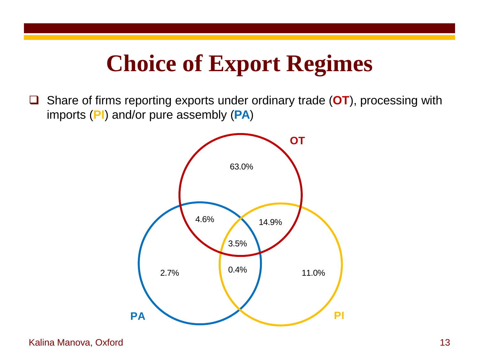### **Choice of Export Regimes**

 Share of firms reporting exports under ordinary trade (**OT**), processing with imports (**PI**) and/or pure assembly (**PA**)

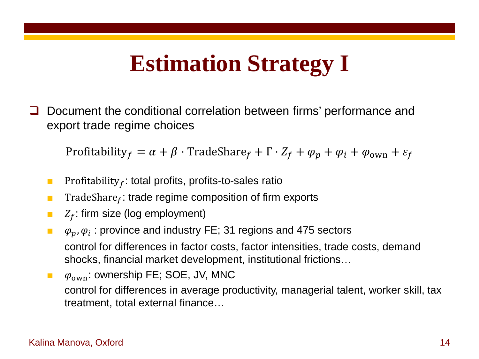### **Estimation Strategy I**

 Document the conditional correlation between firms' performance and export trade regime choices

Profitability  $f = \alpha + \beta \cdot \text{TradeShare}_f + \Gamma \cdot Z_f + \varphi_p + \varphi_i + \varphi_{ownn} + \varepsilon_f$ 

- **■** Profitability<sub>f</sub>: total profits, profits-to-sales ratio
- **The** TradeShare<sub>f</sub>: trade regime composition of firm exports
- $\blacksquare$  :  $Z_f$ : firm size (log employment)
- $\phi_n$ ,  $\phi_i$ : province and industry FE; 31 regions and 475 sectors control for differences in factor costs, factor intensities, trade costs, demand shocks, financial market development, institutional frictions…
- $\phi_{\text{own}}$ : ownership FE; SOE, JV, MNC control for differences in average productivity, managerial talent, worker skill, tax treatment, total external finance…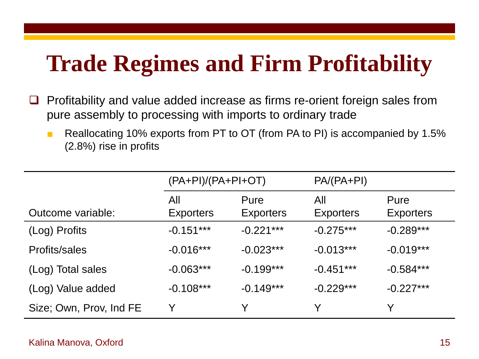# **Trade Regimes and Firm Profitability**

- $\Box$  Profitability and value added increase as firms re-orient foreign sales from pure assembly to processing with imports to ordinary trade
	- Reallocating 10% exports from PT to OT (from PA to PI) is accompanied by 1.5% (2.8%) rise in profits

|                         | $(PA+PI)/(PA+PI+OT)$    |                          | $PA/(PA+PI)$            |                          |
|-------------------------|-------------------------|--------------------------|-------------------------|--------------------------|
| Outcome variable:       | All<br><b>Exporters</b> | Pure<br><b>Exporters</b> | All<br><b>Exporters</b> | Pure<br><b>Exporters</b> |
| (Log) Profits           | $-0.151***$             | $-0.221***$              | $-0.275***$             | $-0.289***$              |
| Profits/sales           | $-0.016***$             | $-0.023***$              | $-0.013***$             | $-0.019***$              |
| (Log) Total sales       | $-0.063***$             | $-0.199***$              | $-0.451***$             | $-0.584***$              |
| (Log) Value added       | $-0.108***$             | $-0.149***$              | $-0.229***$             | $-0.227***$              |
| Size; Own, Prov, Ind FE | Y                       | Y                        |                         | Y                        |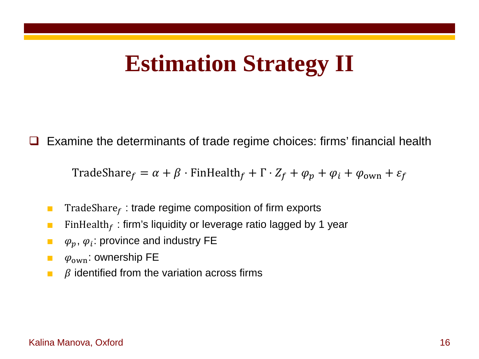### **Estimation Strategy II**

Examine the determinants of trade regime choices: firms' financial health

TradeShare  $f = \alpha + \beta \cdot$  FinHealth  $f + \Gamma \cdot Z_f + \varphi_p + \varphi_i + \varphi_{\text{own}} + \varepsilon_f$ 

- **The TradeShare** : trade regime composition of firm exports
- **E** FinHealth<sub>f</sub>: firm's liquidity or leverage ratio lagged by 1 year
- $\phi_p$ ,  $\varphi_i$ : province and industry FE
- $\phi_{\text{own}}$ : ownership FE
- $\blacksquare$   $\beta$  identified from the variation across firms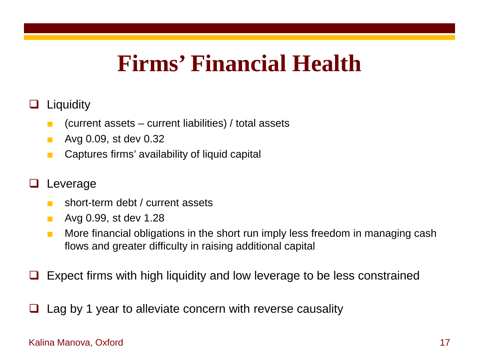#### **Firms' Financial Health**

#### **Liquidity**

- $\blacksquare$  (current assets current liabilities) / total assets
- Avg 0.09, st dev 0.32
- Captures firms' availability of liquid capital

#### Leverage

- short-term debt / current assets
- Avg 0.99, st dev 1.28
- More financial obligations in the short run imply less freedom in managing cash flows and greater difficulty in raising additional capital
- Expect firms with high liquidity and low leverage to be less constrained
- Lag by 1 year to alleviate concern with reverse causality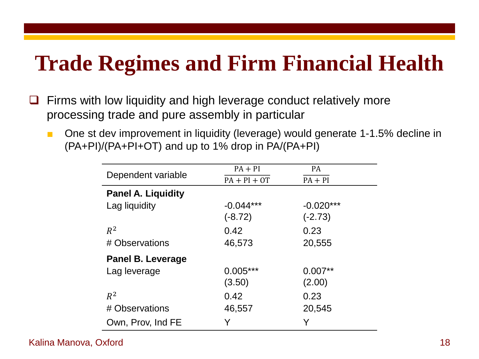#### **Trade Regimes and Firm Financial Health**

- $\Box$  Firms with low liquidity and high leverage conduct relatively more processing trade and pure assembly in particular
	- One st dev improvement in liquidity (leverage) would generate 1-1.5% decline in (PA+PI)/(PA+PI+OT) and up to 1% drop in PA/(PA+PI)

| $PA + PI$      | <b>PA</b>   |
|----------------|-------------|
| $PA + PI + OT$ | $PA + PI$   |
|                |             |
| $-0.044***$    | $-0.020***$ |
| $(-8.72)$      | $(-2.73)$   |
| 0.42           | 0.23        |
| 46,573         | 20,555      |
|                |             |
| $0.005***$     | $0.007**$   |
| (3.50)         | (2.00)      |
| 0.42           | 0.23        |
| 46,557         | 20,545      |
| Y              | Y           |
|                |             |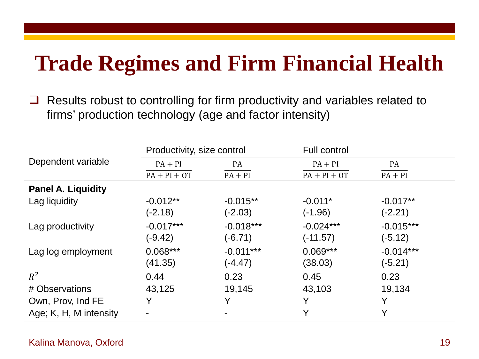#### **Trade Regimes and Firm Financial Health**

 $\Box$  Results robust to controlling for firm productivity and variables related to firms' production technology (age and factor intensity)

|                           | Productivity, size control |             | <b>Full control</b> |             |
|---------------------------|----------------------------|-------------|---------------------|-------------|
| Dependent variable        | $PA + PI$                  | PA          | $PA + PI$           | PA          |
|                           | $PA + PI + OT$             | $PA + PI$   | $PA + PI + OT$      | $PA + PI$   |
| <b>Panel A. Liquidity</b> |                            |             |                     |             |
| Lag liquidity             | $-0.012**$                 | $-0.015**$  | $-0.011*$           | $-0.017**$  |
|                           | $(-2.18)$                  | $(-2.03)$   | (-1.96)             | $(-2.21)$   |
| Lag productivity          | $-0.017***$                | $-0.018***$ | $-0.024***$         | $-0.015***$ |
|                           | $(-9.42)$                  | $(-6.71)$   | (-11.57)            | $(-5.12)$   |
| Lag log employment        | $0.068***$                 | $-0.011***$ | $0.069***$          | $-0.014***$ |
|                           | (41.35)                    | $(-4.47)$   | (38.03)             | $(-5.21)$   |
| $R^2$                     | 0.44                       | 0.23        | 0.45                | 0.23        |
| # Observations            | 43,125                     | 19,145      | 43,103              | 19,134      |
| Own, Prov, Ind FE         | Y                          | Y           | Y                   | Y           |
| Age; K, H, M intensity    |                            |             | V                   | Y           |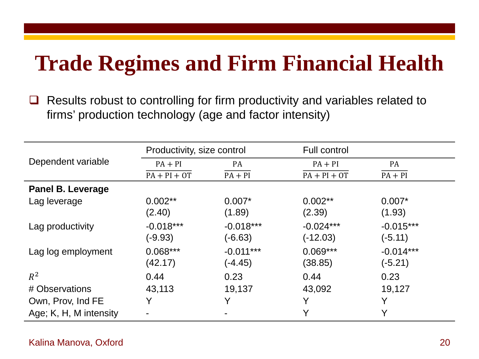#### **Trade Regimes and Firm Financial Health**

 $\Box$  Results robust to controlling for firm productivity and variables related to firms' production technology (age and factor intensity)

|                          | Productivity, size control |             | <b>Full control</b> |             |
|--------------------------|----------------------------|-------------|---------------------|-------------|
| Dependent variable       | $PA + PI$                  | PA          | $PA + PI$           | PA          |
|                          | $PA + PI + OT$             | $PA + PI$   | $PA + PI + OT$      | $PA + PI$   |
| <b>Panel B. Leverage</b> |                            |             |                     |             |
| Lag leverage             | $0.002**$                  | $0.007*$    | $0.002**$           | $0.007*$    |
|                          | (2.40)                     | (1.89)      | (2.39)              | (1.93)      |
| Lag productivity         | $-0.018***$                | $-0.018***$ | $-0.024***$         | $-0.015***$ |
|                          | $(-9.93)$                  | $(-6.63)$   | (-12.03)            | $(-5.11)$   |
| Lag log employment       | $0.068***$                 | $-0.011***$ | $0.069***$          | $-0.014***$ |
|                          | (42.17)                    | $(-4.45)$   | (38.85)             | $(-5.21)$   |
| $R^2$                    | 0.44                       | 0.23        | 0.44                | 0.23        |
| # Observations           | 43,113                     | 19,137      | 43,092              | 19,127      |
| Own, Prov, Ind FE        | Y                          | Y           | Y                   | Y           |
| Age; K, H, M intensity   |                            |             | Y                   | Y           |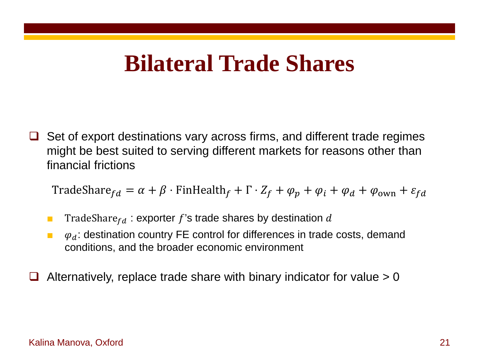#### **Bilateral Trade Shares**

 $\Box$  Set of export destinations vary across firms, and different trade regimes might be best suited to serving different markets for reasons other than financial frictions

TradeShare  $f_d = \alpha + \beta \cdot$  FinHealth  $f + \Gamma \cdot Z_f + \varphi_p + \varphi_i + \varphi_d + \varphi_{ownn} + \varepsilon_{fd}$ 

- **■** TradeShare  $f_d$  : exporter f's trade shares by destination d
- $\phi_d$ : destination country FE control for differences in trade costs, demand conditions, and the broader economic environment
- Alternatively, replace trade share with binary indicator for value > 0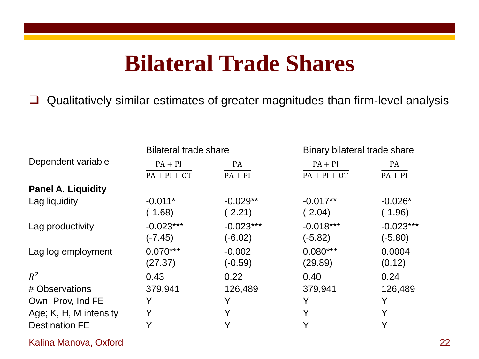### **Bilateral Trade Shares**

□ Qualitatively similar estimates of greater magnitudes than firm-level analysis

|                           | <b>Bilateral trade share</b> |                          | Binary bilateral trade share |                          |
|---------------------------|------------------------------|--------------------------|------------------------------|--------------------------|
| Dependent variable        | $PA + PI$                    | PA                       | $PA + PI$                    | PA                       |
|                           | $PA + PI + OT$               | $PA + PI$                | $PA + PI + OT$               | $PA + PI$                |
| <b>Panel A. Liquidity</b> |                              |                          |                              |                          |
| Lag liquidity             | $-0.011*$<br>$(-1.68)$       | $-0.029**$<br>$(-2.21)$  | $-0.017**$<br>(-2.04)        | $-0.026*$<br>$(-1.96)$   |
| Lag productivity          | $-0.023***$<br>$(-7.45)$     | $-0.023***$<br>$(-6.02)$ | $-0.018***$<br>(-5.82)       | $-0.023***$<br>$(-5.80)$ |
| Lag log employment        | $0.070***$<br>(27.37)        | $-0.002$<br>$(-0.59)$    | $0.080***$<br>(29.89)        | 0.0004<br>(0.12)         |
| $R^2$                     | 0.43                         | 0.22                     | 0.40                         | 0.24                     |
| # Observations            | 379,941                      | 126,489                  | 379,941                      | 126,489                  |
| Own, Prov, Ind FE         | Y                            | Y                        |                              | V                        |
| Age; K, H, M intensity    | Y                            | Y                        | $\checkmark$                 | Y                        |
| <b>Destination FE</b>     |                              |                          |                              | Y                        |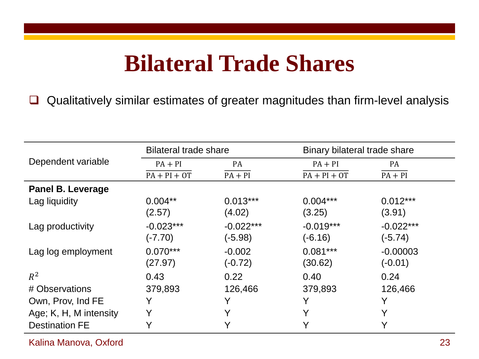### **Bilateral Trade Shares**

□ Qualitatively similar estimates of greater magnitudes than firm-level analysis

|                          | <b>Bilateral trade share</b> |                          | Binary bilateral trade share |                          |  |
|--------------------------|------------------------------|--------------------------|------------------------------|--------------------------|--|
| Dependent variable       | $PA + PI$                    | PA                       | $PA + PI$                    | PA                       |  |
|                          | $PA + PI + OT$               | $PA + PI$                | $PA + PI + OT$               | $PA + PI$                |  |
| <b>Panel B. Leverage</b> |                              |                          |                              |                          |  |
| Lag liquidity            | $0.004**$<br>(2.57)          | $0.013***$<br>(4.02)     | $0.004***$<br>(3.25)         | $0.012***$<br>(3.91)     |  |
| Lag productivity         | $-0.023***$<br>$(-7.70)$     | $-0.022***$<br>$(-5.98)$ | $-0.019***$<br>(-6.16)       | $-0.022***$<br>$(-5.74)$ |  |
| Lag log employment       | $0.070***$<br>(27.97)        | $-0.002$<br>$(-0.72)$    | $0.081***$<br>(30.62)        | $-0.00003$<br>$(-0.01)$  |  |
| $R^2$                    | 0.43                         | 0.22                     | 0.40                         | 0.24                     |  |
| # Observations           | 379,893                      | 126,466                  | 379,893                      | 126,466                  |  |
| Own, Prov, Ind FE        | Y                            | Y                        | $\checkmark$                 | V                        |  |
| Age; K, H, M intensity   | Y                            | Y                        | $\checkmark$                 | Y                        |  |
| <b>Destination FE</b>    |                              |                          |                              | V                        |  |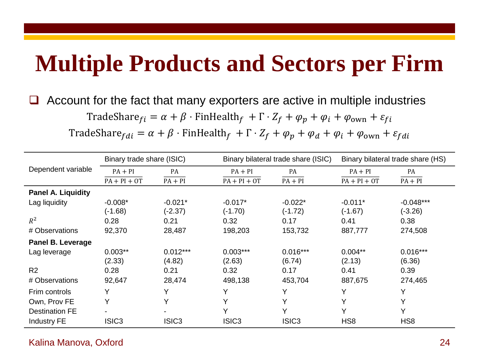### **Multiple Products and Sectors per Firm**

Account for the fact that many exporters are active in multiple industries

TradeShare  $f_i = \alpha + \beta \cdot$  FinHealth  $f_i + \Gamma \cdot Z_f + \varphi_p + \varphi_i + \varphi_{ownn} + \varepsilon_{fi}$ 

TradeShare  $f_{di} = \alpha + \beta \cdot$  FinHealth  $f + \Gamma \cdot Z_f + \varphi_p + \varphi_d + \varphi_i + \varphi_{ownn} + \varepsilon_{fdi}$ 

|                           |                   | Binary trade share (ISIC) |                   | Binary bilateral trade share (ISIC) | Binary bilateral trade share (HS) |                 |
|---------------------------|-------------------|---------------------------|-------------------|-------------------------------------|-----------------------------------|-----------------|
| Dependent variable        | $PA + PI$         | PA                        | $PA + PI$         | <b>PA</b>                           | $PA + PI$                         | PA              |
|                           | $PA + PI + OT$    | $PA + PI$                 | $PA + PI + OT$    | $PA + PI$                           | $PA + PI + OT$                    | $PA + PI$       |
| <b>Panel A. Liquidity</b> |                   |                           |                   |                                     |                                   |                 |
| Lag liquidity             | $-0.008*$         | $-0.021*$                 | $-0.017*$         | $-0.022*$                           | $-0.011*$                         | $-0.048***$     |
|                           | $(-1.68)$         | $(-2.37)$                 | $(-1.70)$         | $(-1.72)$                           | $(-1.67)$                         | $(-3.26)$       |
| $R^2$                     | 0.28              | 0.21                      | 0.32              | 0.17                                | 0.41                              | 0.38            |
| # Observations            | 92,370            | 28,487                    | 198,203           | 153,732                             | 887,777                           | 274,508         |
| Panel B. Leverage         |                   |                           |                   |                                     |                                   |                 |
| Lag leverage              | $0.003**$         | $0.012***$                | $0.003***$        | $0.016***$                          | $0.004**$                         | $0.016***$      |
|                           | (2.33)            | (4.82)                    | (2.63)            | (6.74)                              | (2.13)                            | (6.36)          |
| R <sub>2</sub>            | 0.28              | 0.21                      | 0.32              | 0.17                                | 0.41                              | 0.39            |
| # Observations            | 92,647            | 28,474                    | 498,138           | 453,704                             | 887,675                           | 274,465         |
| Frim controls             | Y                 | Y                         | Y                 | Y                                   | Y                                 | Y               |
| Own, Prov FE              | Y                 | Y                         | Υ                 | $\checkmark$                        | $\checkmark$                      | Y               |
| <b>Destination FE</b>     |                   |                           | v                 | $\checkmark$                        | $\checkmark$                      | Υ               |
| <b>Industry FE</b>        | ISIC <sub>3</sub> | ISIC <sub>3</sub>         | ISIC <sub>3</sub> | ISIC <sub>3</sub>                   | H <sub>S</sub> 8                  | HS <sub>8</sub> |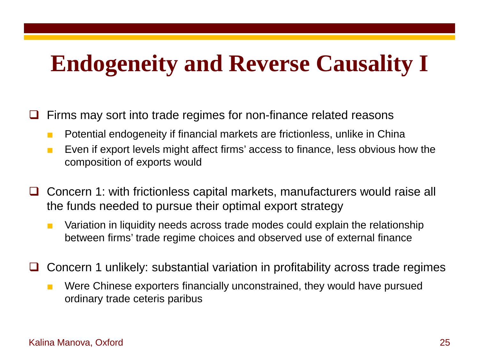### **Endogeneity and Reverse Causality I**

Firms may sort into trade regimes for non-finance related reasons

- Potential endogeneity if financial markets are frictionless, unlike in China
- Even if export levels might affect firms' access to finance, less obvious how the composition of exports would
- Concern 1: with frictionless capital markets, manufacturers would raise all the funds needed to pursue their optimal export strategy
	- Variation in liquidity needs across trade modes could explain the relationship between firms' trade regime choices and observed use of external finance
- Concern 1 unlikely: substantial variation in profitability across trade regimes
	- Were Chinese exporters financially unconstrained, they would have pursued ordinary trade ceteris paribus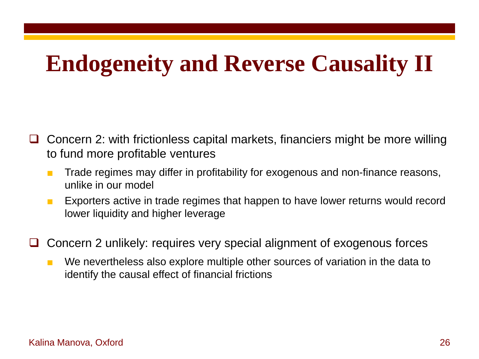## **Endogeneity and Reverse Causality II**

- Concern 2: with frictionless capital markets, financiers might be more willing to fund more profitable ventures
	- Trade regimes may differ in profitability for exogenous and non-finance reasons, unlike in our model
	- Exporters active in trade regimes that happen to have lower returns would record lower liquidity and higher leverage
- □ Concern 2 unlikely: requires very special alignment of exogenous forces
	- We nevertheless also explore multiple other sources of variation in the data to identify the causal effect of financial frictions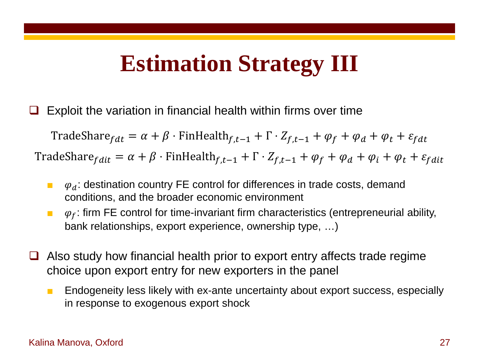### **Estimation Strategy III**

Exploit the variation in financial health within firms over time

TradeShare  $f_{\text{d}t} = \alpha + \beta \cdot \text{FinHealth}_{f,t-1} + \Gamma \cdot Z_{f,t-1} + \varphi_f + \varphi_d + \varphi_t + \varepsilon_{fdt}$ TradeShare  $f_{\text{dit}} = \alpha + \beta \cdot \text{FinHealth}_{f,t-1} + \Gamma \cdot Z_{f,t-1} + \varphi_f + \varphi_d + \varphi_t + \varphi_t + \varepsilon_{\text{fdit}}$ 

- $\phi_d$ : destination country FE control for differences in trade costs, demand conditions, and the broader economic environment
- $\phi_f$ : firm FE control for time-invariant firm characteristics (entrepreneurial ability, bank relationships, export experience, ownership type, …)
- $\Box$  Also study how financial health prior to export entry affects trade regime choice upon export entry for new exporters in the panel
	- Endogeneity less likely with ex-ante uncertainty about export success, especially in response to exogenous export shock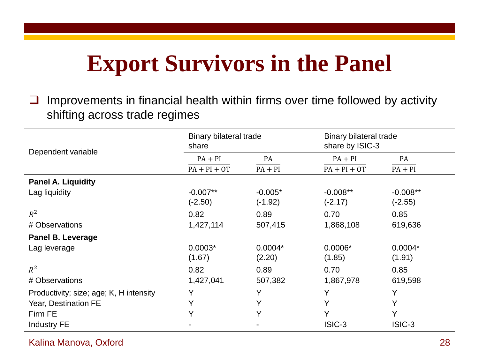# **Export Survivors in the Panel**

 $\Box$  Improvements in financial health within firms over time followed by activity shifting across trade regimes

| Dependent variable                      | <b>Binary bilateral trade</b><br>share |           | Binary bilateral trade<br>share by ISIC-3 |            |
|-----------------------------------------|----------------------------------------|-----------|-------------------------------------------|------------|
|                                         | $PA + PI$                              | PA        | $PA + PI$                                 | PA         |
|                                         | $PA + PI + OT$                         | $PA + PI$ | $PA + PI + OT$                            | $PA + PI$  |
| <b>Panel A. Liquidity</b>               |                                        |           |                                           |            |
| Lag liquidity                           | $-0.007**$                             | $-0.005*$ | $-0.008**$                                | $-0.008**$ |
|                                         | $(-2.50)$                              | $(-1.92)$ | $(-2.17)$                                 | $(-2.55)$  |
| $R^2$                                   | 0.82                                   | 0.89      | 0.70                                      | 0.85       |
| # Observations                          | 1,427,114                              | 507,415   | 1,868,108                                 | 619,636    |
| <b>Panel B. Leverage</b>                |                                        |           |                                           |            |
| Lag leverage                            | $0.0003*$                              | $0.0004*$ | $0.0006*$                                 | $0.0004*$  |
|                                         | (1.67)                                 | (2.20)    | (1.85)                                    | (1.91)     |
| $R^2$                                   | 0.82                                   | 0.89      | 0.70                                      | 0.85       |
| # Observations                          | 1,427,041                              | 507,382   | 1,867,978                                 | 619,598    |
| Productivity; size; age; K, H intensity | Y                                      | Υ         | Y                                         | Y          |
| Year, Destination FE                    | Y                                      | Υ         | Y                                         | Υ          |
| Firm FE                                 | Υ                                      | Y         | Y                                         | Y          |
| <b>Industry FE</b>                      |                                        |           | ISIC-3                                    | ISIC-3     |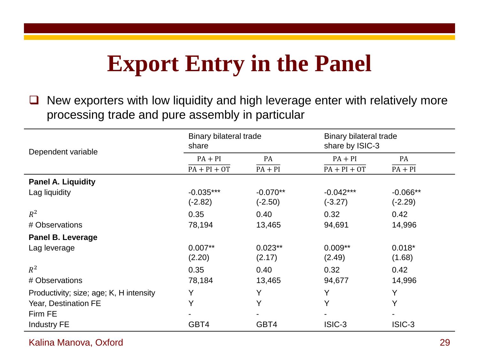## **Export Entry in the Panel**

 $\Box$  New exporters with low liquidity and high leverage enter with relatively more processing trade and pure assembly in particular

| Dependent variable                      | Binary bilateral trade<br>share |            | Binary bilateral trade<br>share by ISIC-3 |            |
|-----------------------------------------|---------------------------------|------------|-------------------------------------------|------------|
|                                         | $PA + PI$                       | PA         | $PA + PI$                                 | PA         |
|                                         | $PA + PI + OT$                  | $PA + PI$  | $PA + PI + OT$                            | $PA + PI$  |
| <b>Panel A. Liquidity</b>               |                                 |            |                                           |            |
| Lag liquidity                           | $-0.035***$                     | $-0.070**$ | $-0.042***$                               | $-0.066**$ |
|                                         | $(-2.82)$                       | $(-2.50)$  | $(-3.27)$                                 | $(-2.29)$  |
| $R^2$                                   | 0.35                            | 0.40       | 0.32                                      | 0.42       |
| # Observations                          | 78,194                          | 13,465     | 94,691                                    | 14,996     |
| <b>Panel B. Leverage</b>                |                                 |            |                                           |            |
| Lag leverage                            | $0.007**$                       | $0.023**$  | $0.009**$                                 | $0.018*$   |
|                                         | (2.20)                          | (2.17)     | (2.49)                                    | (1.68)     |
| $R^2$                                   | 0.35                            | 0.40       | 0.32                                      | 0.42       |
| # Observations                          | 78,184                          | 13,465     | 94,677                                    | 14,996     |
| Productivity; size; age; K, H intensity | Y                               | Y          | Y                                         | Y          |
| Year, Destination FE                    | Y                               | Y          | Y                                         | Y          |
| Firm FE                                 |                                 |            |                                           |            |
| <b>Industry FE</b>                      | GBT4                            | GBT4       | ISIC-3                                    | ISIC-3     |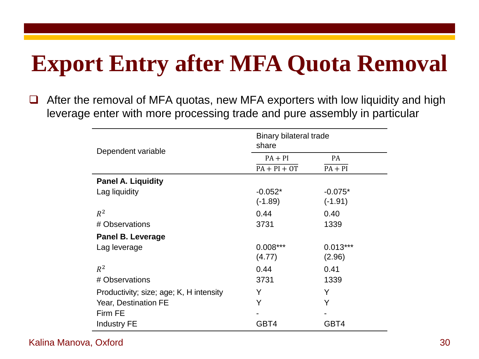# **Export Entry after MFA Quota Removal**

□ After the removal of MFA quotas, new MFA exporters with low liquidity and high leverage enter with more processing trade and pure assembly in particular

| Dependent variable                      | Binary bilateral trade<br>share |            |  |
|-----------------------------------------|---------------------------------|------------|--|
|                                         | $PA + PI$                       | PA         |  |
|                                         | $PA + PI + OT$                  | $PA + PI$  |  |
| <b>Panel A. Liquidity</b>               |                                 |            |  |
| Lag liquidity                           | $-0.052*$                       | $-0.075*$  |  |
|                                         | $(-1.89)$                       | $(-1.91)$  |  |
| $R^2$                                   | 0.44                            | 0.40       |  |
| # Observations                          | 3731                            | 1339       |  |
| <b>Panel B. Leverage</b>                |                                 |            |  |
| Lag leverage                            | $0.008***$                      | $0.013***$ |  |
|                                         | (4.77)                          | (2.96)     |  |
| $R^2$                                   | 0.44                            | 0.41       |  |
| # Observations                          | 3731                            | 1339       |  |
| Productivity; size; age; K, H intensity | Υ                               | Y          |  |
| Year, Destination FE                    | Y                               | Y          |  |
| Firm FE                                 |                                 |            |  |
| <b>Industry FE</b>                      | GBT4                            | GBT4       |  |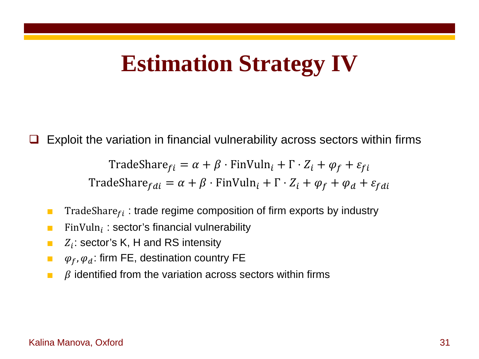#### **Estimation Strategy IV**

Exploit the variation in financial vulnerability across sectors within firms

$$
\text{TradeShare}_{fi} = \alpha + \beta \cdot \text{FinVuln}_i + \Gamma \cdot Z_i + \varphi_f + \varepsilon_{fi}
$$
\n
$$
\text{TradeShare}_{fdi} = \alpha + \beta \cdot \text{FinVuln}_i + \Gamma \cdot Z_i + \varphi_f + \varphi_d + \varepsilon_{fdi}
$$

- **The TradeShare**  $f_i$ : trade regime composition of firm exports by industry
- **FinVuln** : sector's financial vulnerability
- $\blacksquare$  :  $Z_i$ : sector's K, H and RS intensity
- $\phi_f$ ,  $\varphi_d$ : firm FE, destination country FE
- $\blacksquare$   $\beta$  identified from the variation across sectors within firms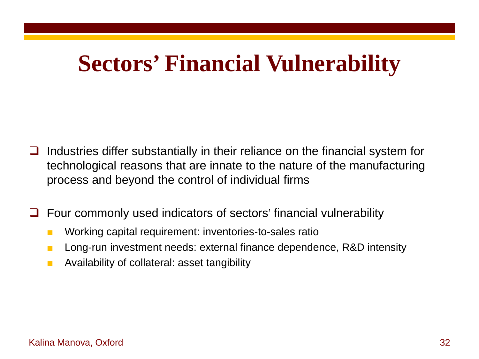### **Sectors' Financial Vulnerability**

- Industries differ substantially in their reliance on the financial system for technological reasons that are innate to the nature of the manufacturing process and beyond the control of individual firms
- Four commonly used indicators of sectors' financial vulnerability
	- Working capital requirement: inventories-to-sales ratio
	- Long-run investment needs: external finance dependence, R&D intensity
	- Availability of collateral: asset tangibility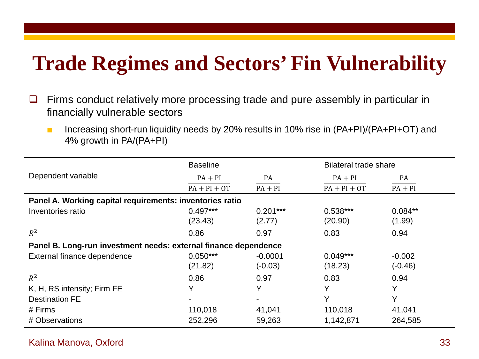#### **Trade Regimes and Sectors' Fin Vulnerability**

- $\Box$  Firms conduct relatively more processing trade and pure assembly in particular in financially vulnerable sectors
	- Increasing short-run liquidity needs by 20% results in 10% rise in (PA+PI)/(PA+PI+OT) and 4% growth in PA/(PA+PI)

|                                                                 | <b>Baseline</b> |                | <b>Bilateral trade share</b> |           |
|-----------------------------------------------------------------|-----------------|----------------|------------------------------|-----------|
| Dependent variable                                              | $PA + PI$       | PA             | $PA + PI$                    | PA        |
|                                                                 | $PA + PI + OT$  | $PA + PI$      | $PA + PI + OT$               | $PA + PI$ |
| Panel A. Working capital requirements: inventories ratio        |                 |                |                              |           |
| Inventories ratio                                               | $0.497***$      | $0.201***$     | $0.538***$                   | $0.084**$ |
|                                                                 | (23.43)         | (2.77)         | (20.90)                      | (1.99)    |
| $R^2$                                                           | 0.86            | 0.97           | 0.83                         | 0.94      |
| Panel B. Long-run investment needs: external finance dependence |                 |                |                              |           |
| External finance dependence                                     | $0.050***$      | $-0.0001$      | $0.049***$                   | $-0.002$  |
|                                                                 | (21.82)         | $(-0.03)$      | (18.23)                      | $(-0.46)$ |
| $R^2$                                                           | 0.86            | 0.97           | 0.83                         | 0.94      |
| K, H, RS intensity; Firm FE                                     | Υ               | Υ              | Y                            | Υ         |
| <b>Destination FE</b>                                           | -               | $\blacksquare$ | Y                            | Y         |
| # Firms                                                         | 110,018         | 41,041         | 110,018                      | 41,041    |
| # Observations                                                  | 252,296         | 59,263         | 1,142,871                    | 264,585   |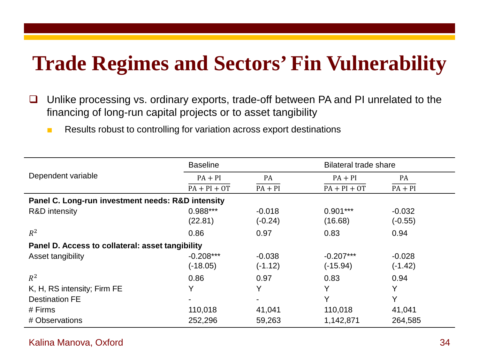#### **Trade Regimes and Sectors' Fin Vulnerability**

- $\Box$  Unlike processing vs. ordinary exports, trade-off between PA and PI unrelated to the financing of long-run capital projects or to asset tangibility
	- Results robust to controlling for variation across export destinations

|                                                   | <b>Baseline</b>           |                       | Bilateral trade share     |                       |
|---------------------------------------------------|---------------------------|-----------------------|---------------------------|-----------------------|
| Dependent variable                                | $PA + PI$                 | PA                    | $PA + PI$                 | PA                    |
|                                                   | $PA + PI + OT$            | $PA + PI$             | $PA + PI + OT$            | $PA + PI$             |
| Panel C. Long-run investment needs: R&D intensity |                           |                       |                           |                       |
| R&D intensity                                     | 0.988***<br>(22.81)       | $-0.018$<br>$(-0.24)$ | $0.901***$<br>(16.68)     | $-0.032$<br>$(-0.55)$ |
| $R^2$                                             | 0.86                      | 0.97                  | 0.83                      | 0.94                  |
| Panel D. Access to collateral: asset tangibility  |                           |                       |                           |                       |
| Asset tangibility                                 | $-0.208***$<br>$(-18.05)$ | $-0.038$<br>$(-1.12)$ | $-0.207***$<br>$(-15.94)$ | $-0.028$<br>$(-1.42)$ |
| $R^2$                                             | 0.86                      | 0.97                  | 0.83                      | 0.94                  |
| K, H, RS intensity; Firm FE                       | Y                         | Y                     | v                         | Y                     |
| <b>Destination FE</b>                             | -                         | $\blacksquare$        | Υ                         | Y                     |
| $#$ Firms                                         | 110,018                   | 41,041                | 110,018                   | 41,041                |
| # Observations                                    | 252,296                   | 59,263                | 1,142,871                 | 264,585               |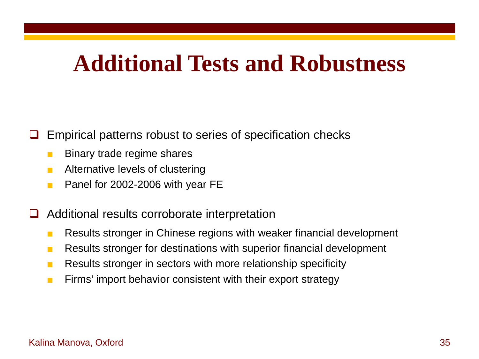#### **Additional Tests and Robustness**

Empirical patterns robust to series of specification checks

- Binary trade regime shares
- Alternative levels of clustering
- Panel for 2002-2006 with year FE
- Additional results corroborate interpretation
	- Results stronger in Chinese regions with weaker financial development
	- Results stronger for destinations with superior financial development
	- Results stronger in sectors with more relationship specificity
	- Firms' import behavior consistent with their export strategy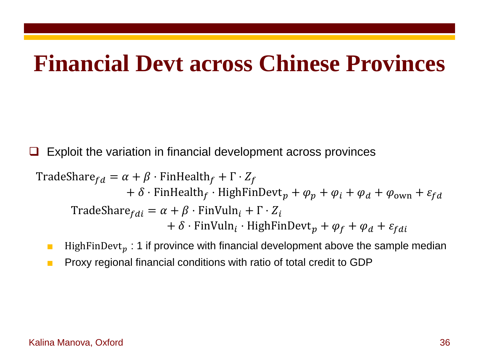#### **Financial Devt across Chinese Provinces**

 $\Box$  Exploit the variation in financial development across provinces

$$
\begin{aligned}\n\text{TradeShare}_{fd} &= \alpha + \beta \cdot \text{FinHealth}_{f} + \Gamma \cdot Z_{f} \\
&\quad + \delta \cdot \text{FinHealth}_{f} \cdot \text{HighFinDevt}_{p} + \varphi_{p} + \varphi_{i} + \varphi_{a} + \varphi_{own} + \varepsilon_{fd} \\
\text{TradeShare}_{fdi} &= \alpha + \beta \cdot \text{FinVuln}_{i} + \Gamma \cdot Z_{i} \\
&\quad + \delta \cdot \text{FinVuln}_{i} \cdot \text{HighFinDevt}_{p} + \varphi_{f} + \varphi_{d} + \varepsilon_{fdi}\n\end{aligned}
$$

- **■** HighFinDevt<sub>p</sub> : 1 if province with financial development above the sample median
- Proxy regional financial conditions with ratio of total credit to GDP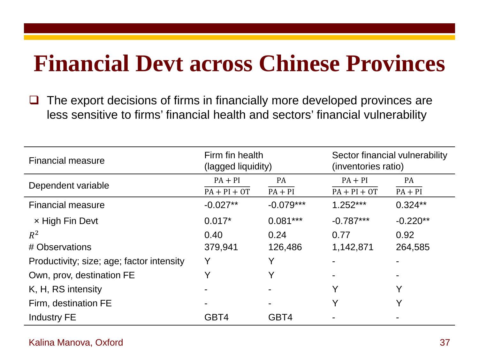### **Financial Devt across Chinese Provinces**

 $\Box$  The export decisions of firms in financially more developed provinces are less sensitive to firms' financial health and sectors' financial vulnerability

| <b>Financial measure</b>                  | Firm fin health<br>(lagged liquidity) |                | Sector financial vulnerability<br>(inventories ratio) |            |
|-------------------------------------------|---------------------------------------|----------------|-------------------------------------------------------|------------|
| Dependent variable                        | $PA + PI$                             | <b>PA</b>      | $PA + PI$                                             | <b>PA</b>  |
|                                           | $PA + PI + OT$                        | $PA + PI$      | $PA + PI + OT$                                        | $PA + PI$  |
| <b>Financial measure</b>                  | $-0.027**$                            | $-0.079***$    | $1.252***$                                            | $0.324**$  |
| x High Fin Devt                           | $0.017*$                              | $0.081***$     | $-0.787***$                                           | $-0.220**$ |
| $R^2$                                     | 0.40                                  | 0.24           | 0.77                                                  | 0.92       |
| # Observations                            | 379,941                               | 126,486        | 1,142,871                                             | 264,585    |
| Productivity; size; age; factor intensity | Y                                     |                |                                                       |            |
| Own, prov, destination FE                 |                                       |                |                                                       |            |
| K, H, RS intensity                        |                                       |                | Y                                                     | V          |
| Firm, destination FE                      |                                       | $\blacksquare$ | Y                                                     | V          |
| <b>Industry FE</b>                        | GBT4                                  | GBT4           |                                                       |            |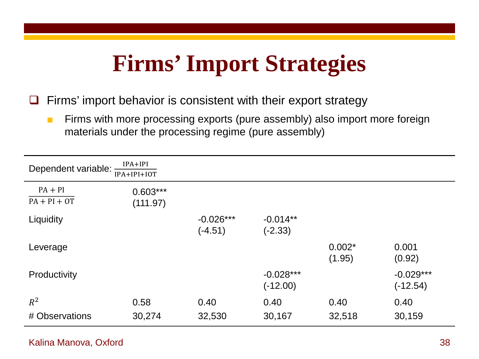## **Firms' Import Strategies**

 $\Box$  Firms' import behavior is consistent with their export strategy

■ Firms with more processing exports (pure assembly) also import more foreign materials under the processing regime (pure assembly)

| $IPA+IPI$<br>Dependent variable:<br>IPA+IPI+IOT |                        |                          |                           |                    |                           |  |  |  |
|-------------------------------------------------|------------------------|--------------------------|---------------------------|--------------------|---------------------------|--|--|--|
| $PA + PI$<br>$PA + PI + OT$                     | $0.603***$<br>(111.97) |                          |                           |                    |                           |  |  |  |
| Liquidity                                       |                        | $-0.026***$<br>$(-4.51)$ | $-0.014**$<br>$(-2.33)$   |                    |                           |  |  |  |
| Leverage                                        |                        |                          |                           | $0.002*$<br>(1.95) | 0.001<br>(0.92)           |  |  |  |
| Productivity                                    |                        |                          | $-0.028***$<br>$(-12.00)$ |                    | $-0.029***$<br>$(-12.54)$ |  |  |  |
| $R^2$<br># Observations                         | 0.58<br>30,274         | 0.40<br>32,530           | 0.40<br>30,167            | 0.40<br>32,518     | 0.40<br>30,159            |  |  |  |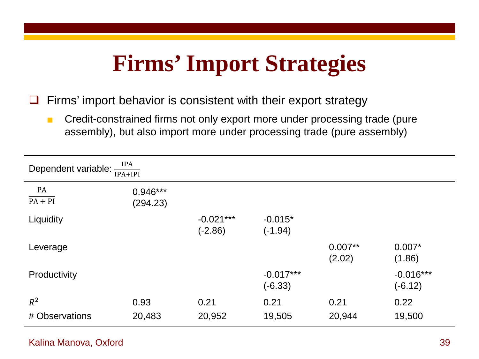## **Firms' Import Strategies**

 $\Box$  Firms' import behavior is consistent with their export strategy

■ Credit-constrained firms not only export more under processing trade (pure assembly), but also import more under processing trade (pure assembly)

| IPA<br>Dependent variable:<br>$IPA+IPI$ |                        |                          |                          |                     |                          |  |  |  |
|-----------------------------------------|------------------------|--------------------------|--------------------------|---------------------|--------------------------|--|--|--|
| PA<br>$PA + PI$                         | $0.946***$<br>(294.23) |                          |                          |                     |                          |  |  |  |
| Liquidity                               |                        | $-0.021***$<br>$(-2.86)$ | $-0.015*$<br>$(-1.94)$   |                     |                          |  |  |  |
| Leverage                                |                        |                          |                          | $0.007**$<br>(2.02) | $0.007*$<br>(1.86)       |  |  |  |
| Productivity                            |                        |                          | $-0.017***$<br>$(-6.33)$ |                     | $-0.016***$<br>$(-6.12)$ |  |  |  |
| $R^2$<br># Observations                 | 0.93<br>20,483         | 0.21<br>20,952           | 0.21<br>19,505           | 0.21<br>20,944      | 0.22<br>19,500           |  |  |  |